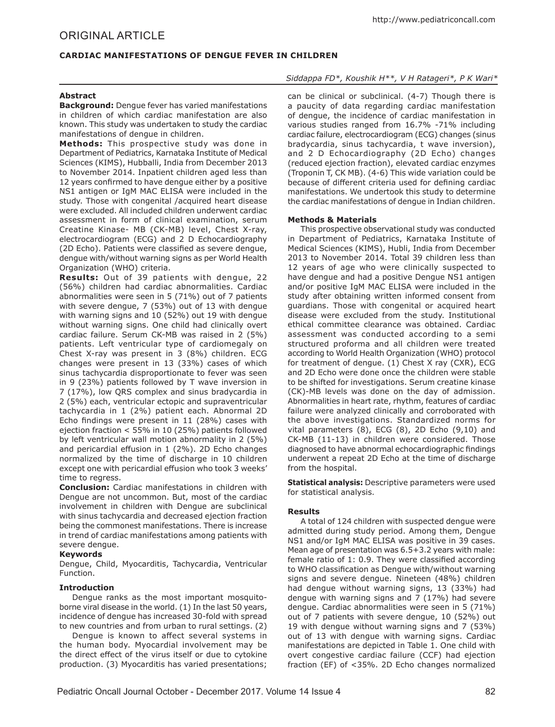# ORIGINAL ARTICLE

## **CARDIAC MANIFESTATIONS OF DENGUE FEVER IN CHILDREN**

### **Abstract**

**Background:** Dengue fever has varied manifestations in children of which cardiac manifestation are also known. This study was undertaken to study the cardiac manifestations of dengue in children.

**Methods:** This prospective study was done in Department of Pediatrics, Karnataka Institute of Medical Sciences (KIMS), Hubballi, India from December 2013 to November 2014. Inpatient children aged less than 12 years confirmed to have dengue either by a positive NS1 antigen or IgM MAC ELISA were included in the study. Those with congenital /acquired heart disease were excluded. All included children underwent cardiac assessment in form of clinical examination, serum Creatine Kinase- MB (CK-MB) level, Chest X-ray, electrocardiogram (ECG) and 2 D Echocardiography (2D Echo). Patients were classified as severe dengue, dengue with/without warning signs as per World Health Organization (WHO) criteria.

**Results:** Out of 39 patients with dengue, 22 (56%) children had cardiac abnormalities. Cardiac abnormalities were seen in 5 (71%) out of 7 patients with severe dengue, 7 (53%) out of 13 with dengue with warning signs and 10 (52%) out 19 with dengue without warning signs. One child had clinically overt cardiac failure. Serum CK-MB was raised in 2 (5%) patients. Left ventricular type of cardiomegaly on Chest X-ray was present in 3 (8%) children. ECG changes were present in 13 (33%) cases of which sinus tachycardia disproportionate to fever was seen in 9 (23%) patients followed by T wave inversion in 7 (17%), low QRS complex and sinus bradycardia in 2 (5%) each, ventricular ectopic and supraventricular tachycardia in 1 (2%) patient each. Abnormal 2D Echo findings were present in 11 (28%) cases with ejection fraction < 55% in 10 (25%) patients followed by left ventricular wall motion abnormality in 2 (5%) and pericardial effusion in 1 (2%). 2D Echo changes normalized by the time of discharge in 10 children except one with pericardial effusion who took 3 weeks' time to regress.

**Conclusion:** Cardiac manifestations in children with Dengue are not uncommon. But, most of the cardiac involvement in children with Dengue are subclinical with sinus tachycardia and decreased ejection fraction being the commonest manifestations. There is increase in trend of cardiac manifestations among patients with severe dengue.

#### **Keywords**

Dengue, Child, Myocarditis, Tachycardia, Ventricular Function.

## **Introduction**

Dengue ranks as the most important mosquitoborne viral disease in the world. (1) In the last 50 years, incidence of dengue has increased 30-fold with spread to new countries and from urban to rural settings. (2)

Dengue is known to affect several systems in the human body. Myocardial involvement may be the direct effect of the virus itself or due to cytokine production. (3) Myocarditis has varied presentations;

## *Siddappa FD\*, Koushik H\*\*, V H Ratageri\*, P K Wari\**

can be clinical or subclinical. (4-7) Though there is a paucity of data regarding cardiac manifestation of dengue, the incidence of cardiac manifestation in various studies ranged from 16.7% -71% including cardiac failure, electrocardiogram (ECG) changes (sinus bradycardia, sinus tachycardia, t wave inversion), and 2 D Echocardiography (2D Echo) changes (reduced ejection fraction), elevated cardiac enzymes (Troponin T, CK MB). (4-6) This wide variation could be because of different criteria used for defining cardiac manifestations. We undertook this study to determine the cardiac manifestations of dengue in Indian children.

### **Methods & Materials**

This prospective observational study was conducted in Department of Pediatrics, Karnataka Institute of Medical Sciences (KIMS), Hubli, India from December 2013 to November 2014. Total 39 children less than 12 years of age who were clinically suspected to have dengue and had a positive Dengue NS1 antigen and/or positive IgM MAC ELISA were included in the study after obtaining written informed consent from guardians. Those with congenital or acquired heart disease were excluded from the study. Institutional ethical committee clearance was obtained. Cardiac assessment was conducted according to a semi structured proforma and all children were treated according to World Health Organization (WHO) protocol for treatment of dengue. (1) Chest X ray (CXR), ECG and 2D Echo were done once the children were stable to be shifted for investigations. Serum creatine kinase (CK)-MB levels was done on the day of admission. Abnormalities in heart rate, rhythm, features of cardiac failure were analyzed clinically and corroborated with the above investigations. Standardized norms for vital parameters (8), ECG (8), 2D Echo (9,10) and CK-MB (11-13) in children were considered. Those diagnosed to have abnormal echocardiographic findings underwent a repeat 2D Echo at the time of discharge from the hospital.

**Statistical analysis:** Descriptive parameters were used for statistical analysis.

## **Results**

A total of 124 children with suspected dengue were admitted during study period. Among them, Dengue NS1 and/or IgM MAC ELISA was positive in 39 cases. Mean age of presentation was 6.5+3.2 years with male: female ratio of 1: 0.9. They were classified according to WHO classification as Dengue with/without warning signs and severe dengue. Nineteen (48%) children had dengue without warning signs, 13 (33%) had dengue with warning signs and 7 (17%) had severe dengue. Cardiac abnormalities were seen in 5 (71%) out of 7 patients with severe dengue, 10 (52%) out 19 with dengue without warning signs and 7 (53%) out of 13 with dengue with warning signs. Cardiac manifestations are depicted in Table 1. One child with overt congestive cardiac failure (CCF) had ejection fraction (EF) of <35%. 2D Echo changes normalized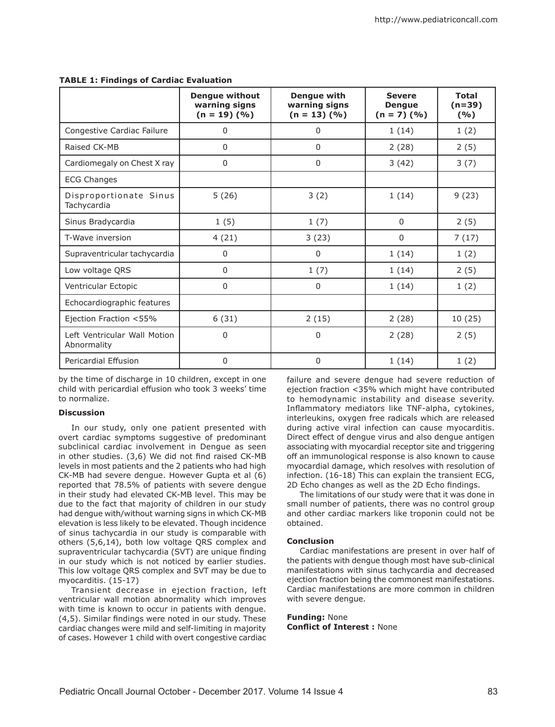|                                             | <b>Dengue without</b><br>warning signs<br>$(n = 19)$ $(\frac{9}{6})$ | Dengue with<br>warning signs<br>$(n = 13)$ $(\frac{9}{6})$ | <b>Severe</b><br><b>Dengue</b><br>$(n = 7)$ $(\frac{0}{0})$ | <b>Total</b><br>$(n=39)$<br>(9/6) |
|---------------------------------------------|----------------------------------------------------------------------|------------------------------------------------------------|-------------------------------------------------------------|-----------------------------------|
| Congestive Cardiac Failure                  | 0                                                                    | 0                                                          | 1(14)                                                       | 1(2)                              |
| Raised CK-MB                                | 0                                                                    | $\Omega$                                                   | 2(28)                                                       | 2(5)                              |
| Cardiomegaly on Chest X ray                 | 0                                                                    | 0                                                          | 3(42)                                                       | 3(7)                              |
| <b>ECG Changes</b>                          |                                                                      |                                                            |                                                             |                                   |
| Disproportionate Sinus<br>Tachycardia       | 5(26)                                                                | 3(2)                                                       | 1(14)                                                       | 9(23)                             |
| Sinus Bradycardia                           | 1(5)                                                                 | 1(7)                                                       | $\Omega$                                                    | 2(5)                              |
| T-Wave inversion                            | 4(21)                                                                | 3(23)                                                      | $\Omega$                                                    | 7(17)                             |
| Supraventricular tachycardia                | $\mathbf 0$                                                          | $\Omega$                                                   | 1(14)                                                       | 1(2)                              |
| Low voltage QRS                             | 0                                                                    | 1(7)                                                       | 1(14)                                                       | 2(5)                              |
| Ventricular Ectopic                         | 0                                                                    | $\mathbf{0}$                                               | 1(14)                                                       | 1(2)                              |
| Echocardiographic features                  |                                                                      |                                                            |                                                             |                                   |
| Ejection Fraction <55%                      | 6(31)                                                                | 2(15)                                                      | 2(28)                                                       | 10(25)                            |
| Left Ventricular Wall Motion<br>Abnormality | 0                                                                    | $\Omega$                                                   | 2(28)                                                       | 2(5)                              |
| Pericardial Effusion                        | $\Omega$                                                             | $\Omega$                                                   | 1(14)                                                       | 1(2)                              |

#### **TABLE 1: Findings of Cardiac Evaluation**

by the time of discharge in 10 children, except in one child with pericardial effusion who took 3 weeks' time to normalize.

#### **Discussion**

In our study, only one patient presented with overt cardiac symptoms suggestive of predominant subclinical cardiac involvement in Dengue as seen in other studies. (3,6) We did not find raised CK-MB levels in most patients and the 2 patients who had high CK-MB had severe dengue. However Gupta et al (6) reported that 78.5% of patients with severe dengue in their study had elevated CK-MB level. This may be due to the fact that majority of children in our study had dengue with/without warning signs in which CK-MB elevation is less likely to be elevated. Though incidence of sinus tachycardia in our study is comparable with others (5,6,14), both low voltage QRS complex and supraventricular tachycardia (SVT) are unique finding in our study which is not noticed by earlier studies. This low voltage QRS complex and SVT may be due to myocarditis. (15-17)

Transient decrease in ejection fraction, left ventricular wall motion abnormality which improves with time is known to occur in patients with dengue. (4,5). Similar findings were noted in our study. These cardiac changes were mild and self-limiting in majority of cases. However 1 child with overt congestive cardiac failure and severe dengue had severe reduction of ejection fraction <35% which might have contributed to hemodynamic instability and disease severity. Inflammatory mediators like TNF-alpha, cytokines, interleukins, oxygen free radicals which are released during active viral infection can cause myocarditis. Direct effect of dengue virus and also dengue antigen associating with myocardial receptor site and triggering off an immunological response is also known to cause myocardial damage, which resolves with resolution of infection. (16-18) This can explain the transient ECG, 2D Echo changes as well as the 2D Echo findings.

The limitations of our study were that it was done in small number of patients, there was no control group and other cardiac markers like troponin could not be obtained.

#### **Conclusion**

Cardiac manifestations are present in over half of the patients with dengue though most have sub-clinical manifestations with sinus tachycardia and decreased ejection fraction being the commonest manifestations. Cardiac manifestations are more common in children with severe dengue.

**Funding:** None **Conflict of Interest :** None